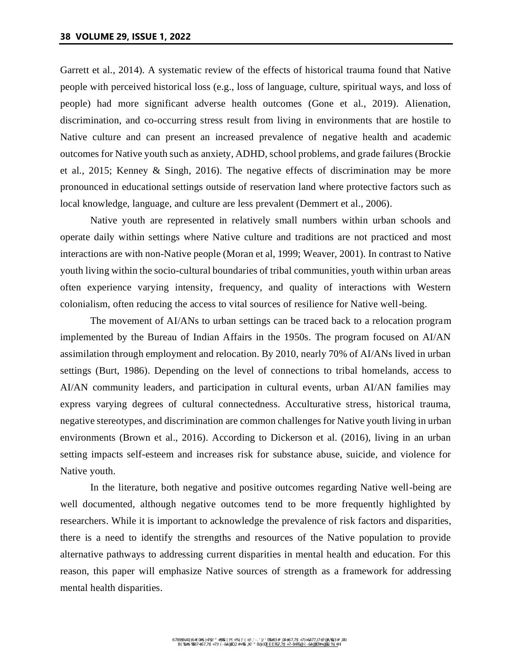Garrett et al., 2014). A systematic review of the effects of historical trauma found that Native people with perceived historical loss (e.g., loss of language, culture, spiritual ways, and loss of people) had more significant adverse health outcomes (Gone et al., 2019). Alienation, discrimination, and co-occurring stress result from living in environments that are hostile to Native culture and can present an increased prevalence of negative health and academic outcomes for Native youth such as anxiety, ADHD, school problems, and grade failures (Brockie et al., 2015; Kenney & Singh, 2016). The negative effects of discrimination may be more pronounced in educational settings outside of reservation land where protective factors such as local knowledge, language, and culture are less prevalent (Demmert et al., 2006).

Native youth are represented in relatively small numbers within urban schools and operate daily within settings where Native culture and traditions are not practiced and most interactions are with non-Native people (Moran et al, 1999; Weaver, 2001). In contrast to Native youth living within the socio-cultural boundaries of tribal communities, youth within urban areas often experience varying intensity, frequency, and quality of interactions with Western colonialism, often reducing the access to vital sources of resilience for Native well-being.

The movement of AI/ANs to urban settings can be traced back to a relocation program implemented by the Bureau of Indian Affairs in the 1950s. The program focused on AI/AN assimilation through employment and relocation. By 2010, nearly 70% of AI/ANs lived in urban settings (Burt, 1986). Depending on the level of connections to tribal homelands, access to AI/AN community leaders, and participation in cultural events, urban AI/AN families may express varying degrees of cultural connectedness. Acculturative stress, historical trauma, negative stereotypes, and discrimination are common challenges for Native youth living in urban environments (Brown et al., 2016). According to Dickerson et al. (2016), living in an urban setting impacts self-esteem and increases risk for substance abuse, suicide, and violence for Native youth.

In the literature, both negative and positive outcomes regarding Native well-being are well documented, although negative outcomes tend to be more frequently highlighted by researchers. While it is important to acknowledge the prevalence of risk factors and disparities, there is a need to identify the strengths and resources of the Native population to provide alternative pathways to addressing current disparities in mental health and education. For this reason, this paper will emphasize Native sources of strength as a framework for addressing mental health disparities.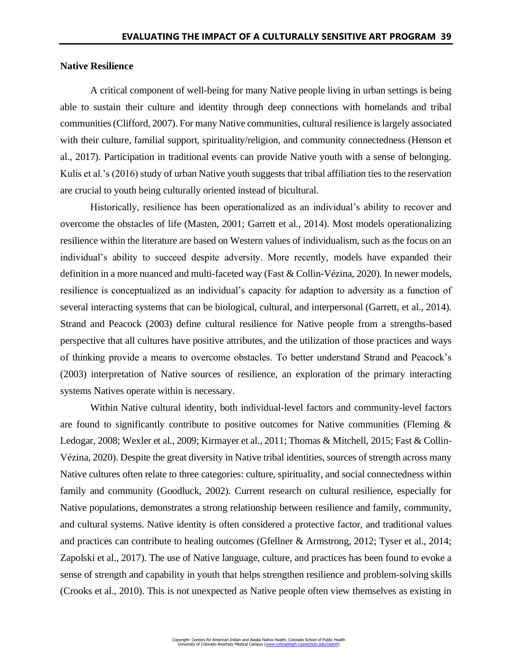## **Native Resilience**

A critical component of well-being for many Native people living in urban settings is being able to sustain their culture and identity through deep connections with homelands and tribal communities (Clifford, 2007). For many Native communities, cultural resilience is largely associated with their culture, familial support, spirituality/religion, and community connectedness (Henson et al., 2017). Participation in traditional events can provide Native youth with a sense of belonging. Kulis et al.'s (2016) study of urban Native youth suggests that tribal affiliation ties to the reservation are crucial to youth being culturally oriented instead of bicultural.

Historically, resilience has been operationalized as an individual's ability to recover and overcome the obstacles of life (Masten, 2001; Garrett et al., 2014). Most models operationalizing resilience within the literature are based on Western values of individualism, such as the focus on an individual's ability to succeed despite adversity. More recently, models have expanded their definition in a more nuanced and multi-faceted way (Fast & Collin-Vézina, 2020). In newer models, resilience is conceptualized as an individual's capacity for adaption to adversity as a function of several interacting systems that can be biological, cultural, and interpersonal (Garrett, et al., 2014). Strand and Peacock (2003) define cultural resilience for Native people from a strengths-based perspective that all cultures have positive attributes, and the utilization of those practices and ways of thinking provide a means to overcome obstacles. To better understand Strand and Peacock's (2003) interpretation of Native sources of resilience, an exploration of the primary interacting systems Natives operate within is necessary.

Within Native cultural identity, both individual-level factors and community-level factors are found to significantly contribute to positive outcomes for Native communities (Fleming & Ledogar, 2008; Wexler et al., 2009; Kirmayer et al., 2011; Thomas & Mitchell, 2015; Fast & Collin-Vézina, 2020). Despite the great diversity in Native tribal identities, sources of strength across many Native cultures often relate to three categories: culture, spirituality, and social connectedness within family and community (Goodluck, 2002). Current research on cultural resilience, especially for Native populations, demonstrates a strong relationship between resilience and family, community, and cultural systems. Native identity is often considered a protective factor, and traditional values and practices can contribute to healing outcomes (Gfellner & Armstrong, 2012; Tyser et al., 2014; Zapolski et al., 2017). The use of Native language, culture, and practices has been found to evoke a sense of strength and capability in youth that helps strengthen resilience and problem-solving skills (Crooks et al., 2010). This is not unexpected as Native people often view themselves as existing in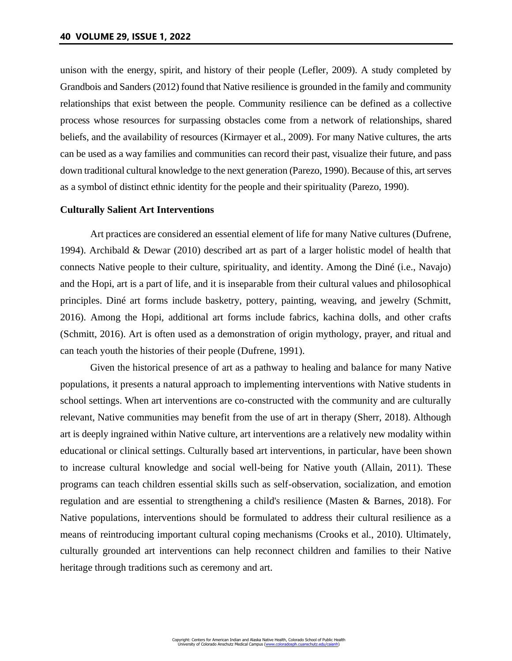unison with the energy, spirit, and history of their people (Lefler, 2009). A study completed by Grandbois and Sanders (2012) found that Native resilience is grounded in the family and community relationships that exist between the people. Community resilience can be defined as a collective process whose resources for surpassing obstacles come from a network of relationships, shared beliefs, and the availability of resources (Kirmayer et al., 2009). For many Native cultures, the arts can be used as a way families and communities can record their past, visualize their future, and pass down traditional cultural knowledge to the next generation (Parezo, 1990). Because of this, art serves as a symbol of distinct ethnic identity for the people and their spirituality (Parezo, 1990).

#### **Culturally Salient Art Interventions**

Art practices are considered an essential element of life for many Native cultures (Dufrene, 1994). Archibald & Dewar (2010) described art as part of a larger holistic model of health that connects Native people to their culture, spirituality, and identity. Among the Diné (i.e., Navajo) and the Hopi, art is a part of life, and it is inseparable from their cultural values and philosophical principles. Diné art forms include basketry, pottery, painting, weaving, and jewelry (Schmitt, 2016). Among the Hopi, additional art forms include fabrics, kachina dolls, and other crafts (Schmitt, 2016). Art is often used as a demonstration of origin mythology, prayer, and ritual and can teach youth the histories of their people (Dufrene, 1991).

Given the historical presence of art as a pathway to healing and balance for many Native populations, it presents a natural approach to implementing interventions with Native students in school settings. When art interventions are co-constructed with the community and are culturally relevant, Native communities may benefit from the use of art in therapy (Sherr, 2018). Although art is deeply ingrained within Native culture, art interventions are a relatively new modality within educational or clinical settings. Culturally based art interventions, in particular, have been shown to increase cultural knowledge and social well-being for Native youth (Allain, 2011). These programs can teach children essential skills such as self-observation, socialization, and emotion regulation and are essential to strengthening a child's resilience (Masten & Barnes, 2018). For Native populations, interventions should be formulated to address their cultural resilience as a means of reintroducing important cultural coping mechanisms (Crooks et al., 2010). Ultimately, culturally grounded art interventions can help reconnect children and families to their Native heritage through traditions such as ceremony and art.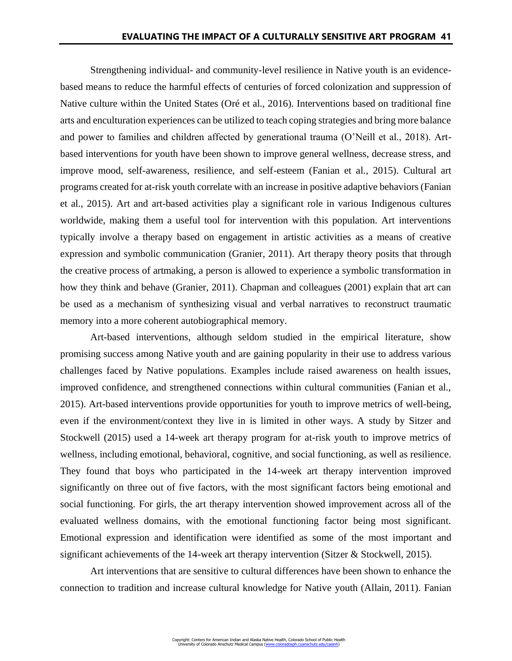Strengthening individual- and community-level resilience in Native youth is an evidencebased means to reduce the harmful effects of centuries of forced colonization and suppression of Native culture within the United States (Oré et al., 2016). Interventions based on traditional fine arts and enculturation experiences can be utilized to teach coping strategies and bring more balance and power to families and children affected by generational trauma (O'Neill et al., 2018). Artbased interventions for youth have been shown to improve general wellness, decrease stress, and improve mood, self-awareness, resilience, and self-esteem (Fanian et al., 2015). Cultural art programs created for at-risk youth correlate with an increase in positive adaptive behaviors (Fanian et al., 2015). Art and art-based activities play a significant role in various Indigenous cultures worldwide, making them a useful tool for intervention with this population. Art interventions typically involve a therapy based on engagement in artistic activities as a means of creative expression and symbolic communication (Granier, 2011). Art therapy theory posits that through the creative process of artmaking, a person is allowed to experience a symbolic transformation in how they think and behave (Granier, 2011). Chapman and colleagues (2001) explain that art can be used as a mechanism of synthesizing visual and verbal narratives to reconstruct traumatic memory into a more coherent autobiographical memory.

Art-based interventions, although seldom studied in the empirical literature, show promising success among Native youth and are gaining popularity in their use to address various challenges faced by Native populations. Examples include raised awareness on health issues, improved confidence, and strengthened connections within cultural communities (Fanian et al., 2015). Art-based interventions provide opportunities for youth to improve metrics of well-being, even if the environment/context they live in is limited in other ways. A study by Sitzer and Stockwell (2015) used a 14-week art therapy program for at-risk youth to improve metrics of wellness, including emotional, behavioral, cognitive, and social functioning, as well as resilience. They found that boys who participated in the 14-week art therapy intervention improved significantly on three out of five factors, with the most significant factors being emotional and social functioning. For girls, the art therapy intervention showed improvement across all of the evaluated wellness domains, with the emotional functioning factor being most significant. Emotional expression and identification were identified as some of the most important and significant achievements of the 14-week art therapy intervention (Sitzer & Stockwell, 2015).

Art interventions that are sensitive to cultural differences have been shown to enhance the connection to tradition and increase cultural knowledge for Native youth (Allain, 2011). Fanian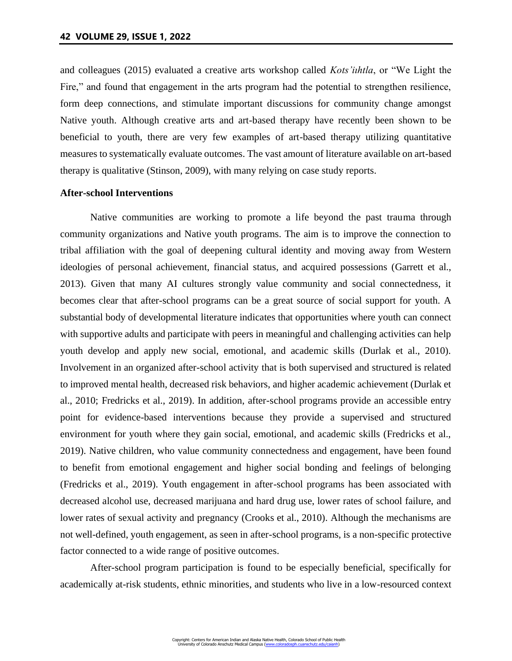and colleagues (2015) evaluated a creative arts workshop called *Kots'iıhtla*, or "We Light the Fire," and found that engagement in the arts program had the potential to strengthen resilience, form deep connections, and stimulate important discussions for community change amongst Native youth. Although creative arts and art-based therapy have recently been shown to be beneficial to youth, there are very few examples of art-based therapy utilizing quantitative measures to systematically evaluate outcomes. The vast amount of literature available on art-based therapy is qualitative (Stinson, 2009), with many relying on case study reports.

#### **After-school Interventions**

Native communities are working to promote a life beyond the past trauma through community organizations and Native youth programs. The aim is to improve the connection to tribal affiliation with the goal of deepening cultural identity and moving away from Western ideologies of personal achievement, financial status, and acquired possessions (Garrett et al., 2013). Given that many AI cultures strongly value community and social connectedness, it becomes clear that after-school programs can be a great source of social support for youth. A substantial body of developmental literature indicates that opportunities where youth can connect with supportive adults and participate with peers in meaningful and challenging activities can help youth develop and apply new social, emotional, and academic skills (Durlak et al., 2010). Involvement in an organized after-school activity that is both supervised and structured is related to improved mental health, decreased risk behaviors, and higher academic achievement (Durlak et al., 2010; Fredricks et al., 2019). In addition, after-school programs provide an accessible entry point for evidence-based interventions because they provide a supervised and structured environment for youth where they gain social, emotional, and academic skills (Fredricks et al., 2019). Native children, who value community connectedness and engagement, have been found to benefit from emotional engagement and higher social bonding and feelings of belonging (Fredricks et al., 2019). Youth engagement in after-school programs has been associated with decreased alcohol use, decreased marijuana and hard drug use, lower rates of school failure, and lower rates of sexual activity and pregnancy (Crooks et al., 2010). Although the mechanisms are not well-defined, youth engagement, as seen in after-school programs, is a non-specific protective factor connected to a wide range of positive outcomes.

After-school program participation is found to be especially beneficial, specifically for academically at-risk students, ethnic minorities, and students who live in a low-resourced context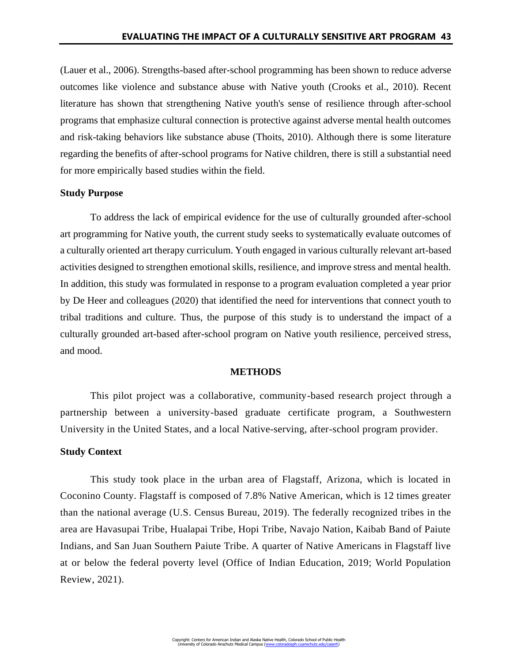(Lauer et al., 2006). Strengths-based after-school programming has been shown to reduce adverse outcomes like violence and substance abuse with Native youth (Crooks et al., 2010). Recent literature has shown that strengthening Native youth's sense of resilience through after-school programs that emphasize cultural connection is protective against adverse mental health outcomes and risk-taking behaviors like substance abuse (Thoits, 2010). Although there is some literature regarding the benefits of after-school programs for Native children, there is still a substantial need for more empirically based studies within the field.

### **Study Purpose**

To address the lack of empirical evidence for the use of culturally grounded after-school art programming for Native youth, the current study seeks to systematically evaluate outcomes of a culturally oriented art therapy curriculum. Youth engaged in various culturally relevant art-based activities designed to strengthen emotional skills, resilience, and improve stress and mental health. In addition, this study was formulated in response to a program evaluation completed a year prior by De Heer and colleagues (2020) that identified the need for interventions that connect youth to tribal traditions and culture. Thus, the purpose of this study is to understand the impact of a culturally grounded art-based after-school program on Native youth resilience, perceived stress, and mood.

#### **METHODS**

This pilot project was a collaborative, community-based research project through a partnership between a university-based graduate certificate program, a Southwestern University in the United States, and a local Native-serving, after-school program provider.

### **Study Context**

This study took place in the urban area of Flagstaff, Arizona, which is located in Coconino County. Flagstaff is composed of 7.8% Native American, which is 12 times greater than the national average (U.S. Census Bureau, 2019). The federally recognized tribes in the area are Havasupai Tribe, Hualapai Tribe, Hopi Tribe, Navajo Nation, Kaibab Band of Paiute Indians, and San Juan Southern Paiute Tribe. A quarter of Native Americans in Flagstaff live at or below the federal poverty level (Office of Indian Education, 2019; World Population Review, 2021).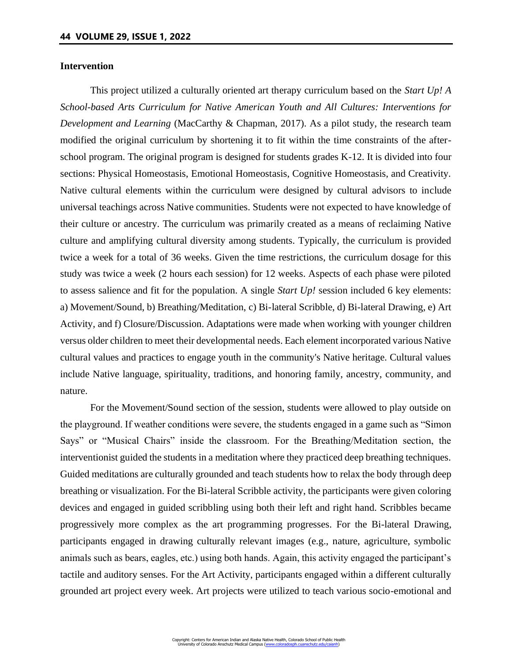## **Intervention**

This project utilized a culturally oriented art therapy curriculum based on the *Start Up! A School-based Arts Curriculum for Native American Youth and All Cultures: Interventions for Development and Learning* (MacCarthy & Chapman, 2017). As a pilot study, the research team modified the original curriculum by shortening it to fit within the time constraints of the afterschool program. The original program is designed for students grades K-12. It is divided into four sections: Physical Homeostasis, Emotional Homeostasis, Cognitive Homeostasis, and Creativity. Native cultural elements within the curriculum were designed by cultural advisors to include universal teachings across Native communities. Students were not expected to have knowledge of their culture or ancestry. The curriculum was primarily created as a means of reclaiming Native culture and amplifying cultural diversity among students. Typically, the curriculum is provided twice a week for a total of 36 weeks. Given the time restrictions, the curriculum dosage for this study was twice a week (2 hours each session) for 12 weeks. Aspects of each phase were piloted to assess salience and fit for the population. A single *Start Up!* session included 6 key elements: a) Movement/Sound, b) Breathing/Meditation, c) Bi-lateral Scribble, d) Bi-lateral Drawing, e) Art Activity, and f) Closure/Discussion. Adaptations were made when working with younger children versus older children to meet their developmental needs. Each element incorporated various Native cultural values and practices to engage youth in the community's Native heritage. Cultural values include Native language, spirituality, traditions, and honoring family, ancestry, community, and nature.

For the Movement/Sound section of the session, students were allowed to play outside on the playground. If weather conditions were severe, the students engaged in a game such as "Simon Says" or "Musical Chairs" inside the classroom. For the Breathing/Meditation section, the interventionist guided the students in a meditation where they practiced deep breathing techniques. Guided meditations are culturally grounded and teach students how to relax the body through deep breathing or visualization. For the Bi-lateral Scribble activity, the participants were given coloring devices and engaged in guided scribbling using both their left and right hand. Scribbles became progressively more complex as the art programming progresses. For the Bi-lateral Drawing, participants engaged in drawing culturally relevant images (e.g., nature, agriculture, symbolic animals such as bears, eagles, etc.) using both hands. Again, this activity engaged the participant's tactile and auditory senses. For the Art Activity, participants engaged within a different culturally grounded art project every week. Art projects were utilized to teach various socio-emotional and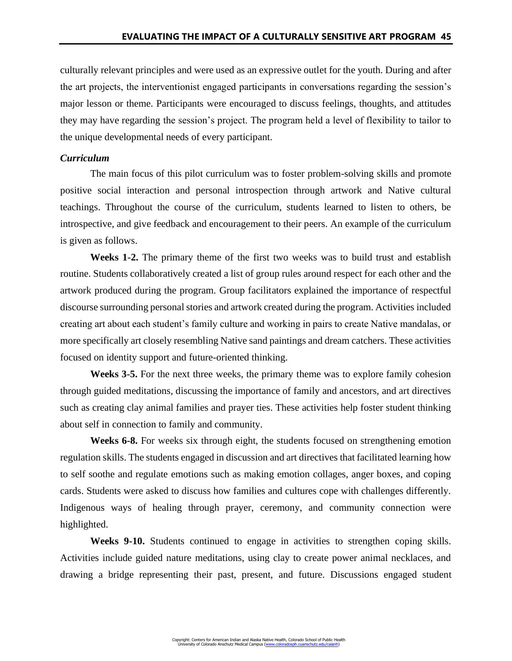culturally relevant principles and were used as an expressive outlet for the youth. During and after the art projects, the interventionist engaged participants in conversations regarding the session's major lesson or theme. Participants were encouraged to discuss feelings, thoughts, and attitudes they may have regarding the session's project. The program held a level of flexibility to tailor to the unique developmental needs of every participant.

# *Curriculum*

The main focus of this pilot curriculum was to foster problem-solving skills and promote positive social interaction and personal introspection through artwork and Native cultural teachings. Throughout the course of the curriculum, students learned to listen to others, be introspective, and give feedback and encouragement to their peers. An example of the curriculum is given as follows.

**Weeks 1-2.** The primary theme of the first two weeks was to build trust and establish routine. Students collaboratively created a list of group rules around respect for each other and the artwork produced during the program. Group facilitators explained the importance of respectful discourse surrounding personal stories and artwork created during the program. Activities included creating art about each student's family culture and working in pairs to create Native mandalas, or more specifically art closely resembling Native sand paintings and dream catchers. These activities focused on identity support and future-oriented thinking.

**Weeks 3-5.** For the next three weeks, the primary theme was to explore family cohesion through guided meditations, discussing the importance of family and ancestors, and art directives such as creating clay animal families and prayer ties. These activities help foster student thinking about self in connection to family and community.

**Weeks 6-8.** For weeks six through eight, the students focused on strengthening emotion regulation skills. The students engaged in discussion and art directives that facilitated learning how to self soothe and regulate emotions such as making emotion collages, anger boxes, and coping cards. Students were asked to discuss how families and cultures cope with challenges differently. Indigenous ways of healing through prayer, ceremony, and community connection were highlighted.

**Weeks 9-10.** Students continued to engage in activities to strengthen coping skills. Activities include guided nature meditations, using clay to create power animal necklaces, and drawing a bridge representing their past, present, and future. Discussions engaged student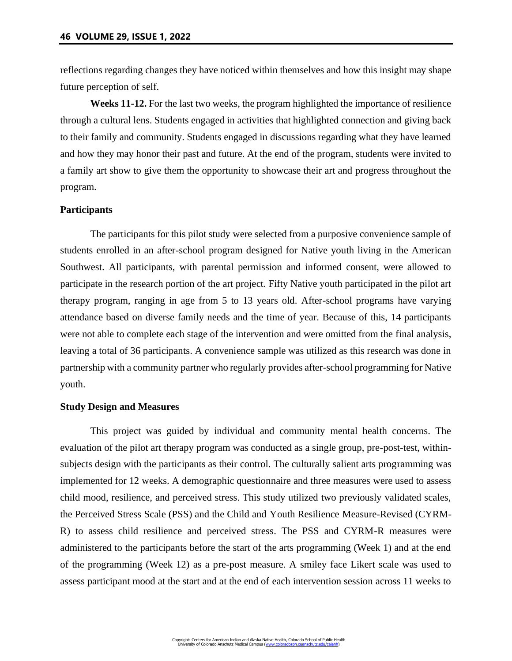reflections regarding changes they have noticed within themselves and how this insight may shape future perception of self.

**Weeks 11-12.** For the last two weeks, the program highlighted the importance of resilience through a cultural lens. Students engaged in activities that highlighted connection and giving back to their family and community. Students engaged in discussions regarding what they have learned and how they may honor their past and future. At the end of the program, students were invited to a family art show to give them the opportunity to showcase their art and progress throughout the program.

#### **Participants**

The participants for this pilot study were selected from a purposive convenience sample of students enrolled in an after-school program designed for Native youth living in the American Southwest. All participants, with parental permission and informed consent, were allowed to participate in the research portion of the art project. Fifty Native youth participated in the pilot art therapy program, ranging in age from 5 to 13 years old. After-school programs have varying attendance based on diverse family needs and the time of year. Because of this, 14 participants were not able to complete each stage of the intervention and were omitted from the final analysis, leaving a total of 36 participants. A convenience sample was utilized as this research was done in partnership with a community partner who regularly provides after-school programming for Native youth.

### **Study Design and Measures**

This project was guided by individual and community mental health concerns. The evaluation of the pilot art therapy program was conducted as a single group, pre-post-test, withinsubjects design with the participants as their control. The culturally salient arts programming was implemented for 12 weeks. A demographic questionnaire and three measures were used to assess child mood, resilience, and perceived stress. This study utilized two previously validated scales, the Perceived Stress Scale (PSS) and the Child and Youth Resilience Measure-Revised (CYRM-R) to assess child resilience and perceived stress. The PSS and CYRM-R measures were administered to the participants before the start of the arts programming (Week 1) and at the end of the programming (Week 12) as a pre-post measure. A smiley face Likert scale was used to assess participant mood at the start and at the end of each intervention session across 11 weeks to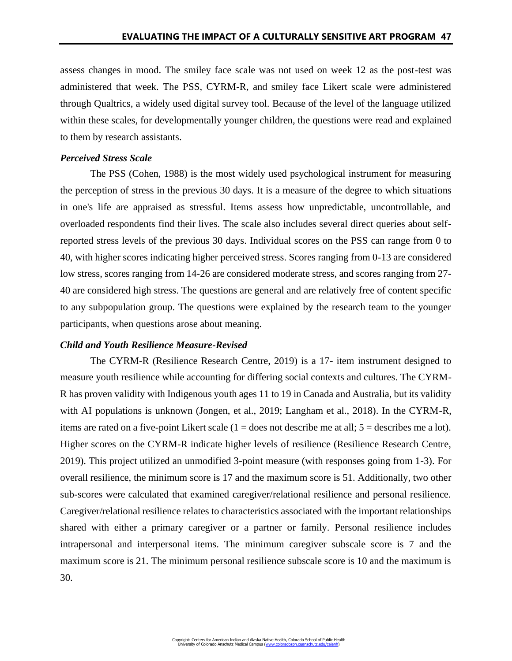assess changes in mood. The smiley face scale was not used on week 12 as the post-test was administered that week. The PSS, CYRM-R, and smiley face Likert scale were administered through Qualtrics, a widely used digital survey tool. Because of the level of the language utilized within these scales, for developmentally younger children, the questions were read and explained to them by research assistants.

## *Perceived Stress Scale*

The PSS (Cohen, 1988) is the most widely used psychological instrument for measuring the perception of stress in the previous 30 days. It is a measure of the degree to which situations in one's life are appraised as stressful. Items assess how unpredictable, uncontrollable, and overloaded respondents find their lives. The scale also includes several direct queries about selfreported stress levels of the previous 30 days. Individual scores on the PSS can range from 0 to 40, with higher scores indicating higher perceived stress. Scores ranging from 0-13 are considered low stress, scores ranging from 14-26 are considered moderate stress, and scores ranging from 27- 40 are considered high stress. The questions are general and are relatively free of content specific to any subpopulation group. The questions were explained by the research team to the younger participants, when questions arose about meaning.

# *Child and Youth Resilience Measure-Revised*

The CYRM-R (Resilience Research Centre, 2019) is a 17- item instrument designed to measure youth resilience while accounting for differing social contexts and cultures. The CYRM-R has proven validity with Indigenous youth ages 11 to 19 in Canada and Australia, but its validity with AI populations is unknown (Jongen, et al., 2019; Langham et al., 2018). In the CYRM-R, items are rated on a five-point Likert scale  $(1 =$  does not describe me at all;  $5 =$  describes me a lot). Higher scores on the CYRM-R indicate higher levels of resilience (Resilience Research Centre, 2019). This project utilized an unmodified 3-point measure (with responses going from 1-3). For overall resilience, the minimum score is 17 and the maximum score is 51. Additionally, two other sub-scores were calculated that examined caregiver/relational resilience and personal resilience. Caregiver/relational resilience relates to characteristics associated with the important relationships shared with either a primary caregiver or a partner or family. Personal resilience includes intrapersonal and interpersonal items. The minimum caregiver subscale score is 7 and the maximum score is 21. The minimum personal resilience subscale score is 10 and the maximum is 30.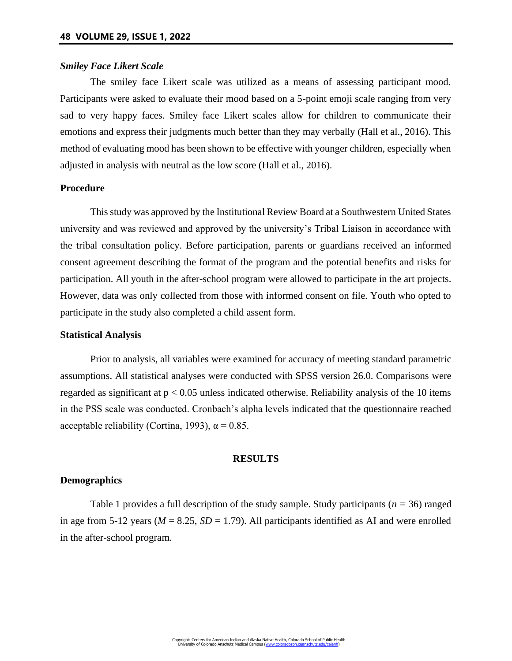## *Smiley Face Likert Scale*

The smiley face Likert scale was utilized as a means of assessing participant mood. Participants were asked to evaluate their mood based on a 5-point emoji scale ranging from very sad to very happy faces. Smiley face Likert scales allow for children to communicate their emotions and express their judgments much better than they may verbally (Hall et al., 2016). This method of evaluating mood has been shown to be effective with younger children, especially when adjusted in analysis with neutral as the low score (Hall et al., 2016).

# **Procedure**

This study was approved by the Institutional Review Board at a Southwestern United States university and was reviewed and approved by the university's Tribal Liaison in accordance with the tribal consultation policy. Before participation, parents or guardians received an informed consent agreement describing the format of the program and the potential benefits and risks for participation. All youth in the after-school program were allowed to participate in the art projects. However, data was only collected from those with informed consent on file. Youth who opted to participate in the study also completed a child assent form.

### **Statistical Analysis**

Prior to analysis, all variables were examined for accuracy of meeting standard parametric assumptions. All statistical analyses were conducted with SPSS version 26.0. Comparisons were regarded as significant at  $p < 0.05$  unless indicated otherwise. Reliability analysis of the 10 items in the PSS scale was conducted. Cronbach's alpha levels indicated that the questionnaire reached acceptable reliability (Cortina, 1993),  $\alpha = 0.85$ .

### **RESULTS**

### **Demographics**

Table 1 provides a full description of the study sample. Study participants (*n =* 36) ranged in age from 5-12 years ( $M = 8.25$ ,  $SD = 1.79$ ). All participants identified as AI and were enrolled in the after-school program.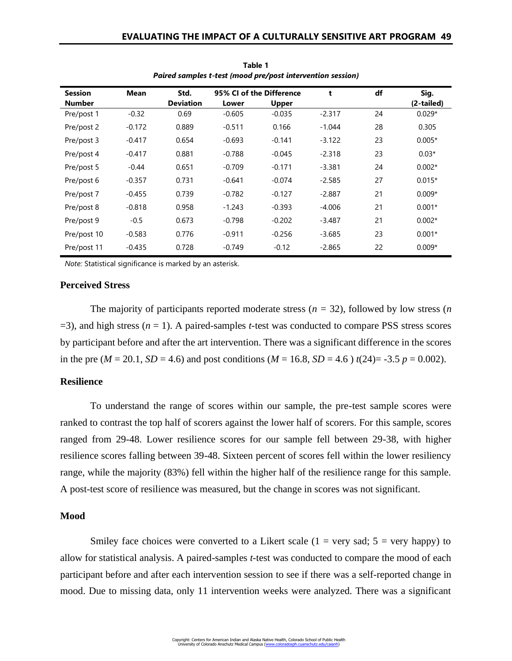| <b>Session</b> | <b>Mean</b> | Std.             | 95% CI of the Difference |              | t        | df | Sig.       |
|----------------|-------------|------------------|--------------------------|--------------|----------|----|------------|
| <b>Number</b>  |             | <b>Deviation</b> | Lower                    | <b>Upper</b> |          |    | (2-tailed) |
| Pre/post 1     | $-0.32$     | 0.69             | $-0.605$                 | $-0.035$     | $-2.317$ | 24 | $0.029*$   |
| Pre/post 2     | $-0.172$    | 0.889            | $-0.511$                 | 0.166        | $-1.044$ | 28 | 0.305      |
| Pre/post 3     | $-0.417$    | 0.654            | $-0.693$                 | $-0.141$     | $-3.122$ | 23 | $0.005*$   |
| Pre/post 4     | $-0.417$    | 0.881            | $-0.788$                 | $-0.045$     | $-2.318$ | 23 | $0.03*$    |
| Pre/post 5     | $-0.44$     | 0.651            | $-0.709$                 | $-0.171$     | $-3.381$ | 24 | $0.002*$   |
| Pre/post 6     | $-0.357$    | 0.731            | $-0.641$                 | $-0.074$     | $-2.585$ | 27 | $0.015*$   |
| Pre/post 7     | $-0.455$    | 0.739            | $-0.782$                 | $-0.127$     | $-2.887$ | 21 | $0.009*$   |
| Pre/post 8     | $-0.818$    | 0.958            | $-1.243$                 | $-0.393$     | $-4.006$ | 21 | $0.001*$   |
| Pre/post 9     | $-0.5$      | 0.673            | $-0.798$                 | $-0.202$     | $-3.487$ | 21 | $0.002*$   |
| Pre/post 10    | $-0.583$    | 0.776            | $-0.911$                 | $-0.256$     | $-3.685$ | 23 | $0.001*$   |
| Pre/post 11    | $-0.435$    | 0.728            | $-0.749$                 | $-0.12$      | $-2.865$ | 22 | $0.009*$   |

**Table 1** *Paired samples t-test (mood pre/post intervention session)*

*Note:* Statistical significance is marked by an asterisk.

### **Perceived Stress**

The majority of participants reported moderate stress ( $n = 32$ ), followed by low stress ( $n$ =3), and high stress (*n* = 1). A paired-samples *t-*test was conducted to compare PSS stress scores by participant before and after the art intervention. There was a significant difference in the scores in the pre ( $M = 20.1$ ,  $SD = 4.6$ ) and post conditions ( $M = 16.8$ ,  $SD = 4.6$ )  $t(24) = -3.5$   $p = 0.002$ ).

## **Resilience**

To understand the range of scores within our sample, the pre-test sample scores were ranked to contrast the top half of scorers against the lower half of scorers. For this sample, scores ranged from 29-48. Lower resilience scores for our sample fell between 29-38, with higher resilience scores falling between 39-48. Sixteen percent of scores fell within the lower resiliency range, while the majority (83%) fell within the higher half of the resilience range for this sample. A post-test score of resilience was measured, but the change in scores was not significant.

### **Mood**

Smiley face choices were converted to a Likert scale  $(1 = \text{very sad}; 5 = \text{very happy})$  to allow for statistical analysis. A paired-samples *t-*test was conducted to compare the mood of each participant before and after each intervention session to see if there was a self-reported change in mood. Due to missing data, only 11 intervention weeks were analyzed. There was a significant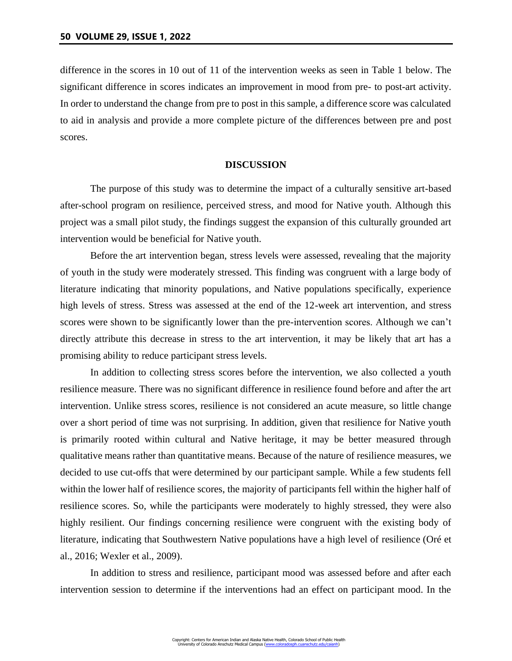difference in the scores in 10 out of 11 of the intervention weeks as seen in Table 1 below. The significant difference in scores indicates an improvement in mood from pre- to post-art activity. In order to understand the change from pre to post in this sample, a difference score was calculated to aid in analysis and provide a more complete picture of the differences between pre and post scores.

#### **DISCUSSION**

The purpose of this study was to determine the impact of a culturally sensitive art-based after-school program on resilience, perceived stress, and mood for Native youth. Although this project was a small pilot study, the findings suggest the expansion of this culturally grounded art intervention would be beneficial for Native youth.

Before the art intervention began, stress levels were assessed, revealing that the majority of youth in the study were moderately stressed. This finding was congruent with a large body of literature indicating that minority populations, and Native populations specifically, experience high levels of stress. Stress was assessed at the end of the 12-week art intervention, and stress scores were shown to be significantly lower than the pre-intervention scores. Although we can't directly attribute this decrease in stress to the art intervention, it may be likely that art has a promising ability to reduce participant stress levels.

In addition to collecting stress scores before the intervention, we also collected a youth resilience measure. There was no significant difference in resilience found before and after the art intervention. Unlike stress scores, resilience is not considered an acute measure, so little change over a short period of time was not surprising. In addition, given that resilience for Native youth is primarily rooted within cultural and Native heritage, it may be better measured through qualitative means rather than quantitative means. Because of the nature of resilience measures, we decided to use cut-offs that were determined by our participant sample. While a few students fell within the lower half of resilience scores, the majority of participants fell within the higher half of resilience scores. So, while the participants were moderately to highly stressed, they were also highly resilient. Our findings concerning resilience were congruent with the existing body of literature, indicating that Southwestern Native populations have a high level of resilience (Oré et al., 2016; Wexler et al., 2009).

In addition to stress and resilience, participant mood was assessed before and after each intervention session to determine if the interventions had an effect on participant mood. In the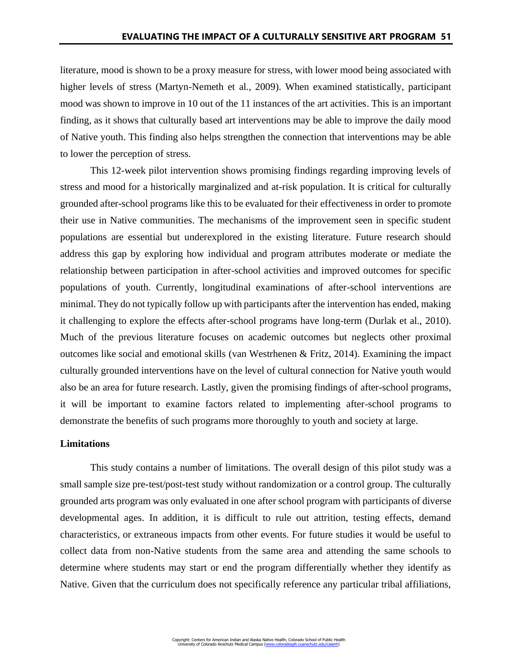literature, mood is shown to be a proxy measure for stress, with lower mood being associated with higher levels of stress (Martyn-Nemeth et al., 2009). When examined statistically, participant mood was shown to improve in 10 out of the 11 instances of the art activities. This is an important finding, as it shows that culturally based art interventions may be able to improve the daily mood of Native youth. This finding also helps strengthen the connection that interventions may be able to lower the perception of stress.

This 12-week pilot intervention shows promising findings regarding improving levels of stress and mood for a historically marginalized and at-risk population. It is critical for culturally grounded after-school programs like this to be evaluated for their effectiveness in order to promote their use in Native communities. The mechanisms of the improvement seen in specific student populations are essential but underexplored in the existing literature. Future research should address this gap by exploring how individual and program attributes moderate or mediate the relationship between participation in after-school activities and improved outcomes for specific populations of youth. Currently, longitudinal examinations of after-school interventions are minimal. They do not typically follow up with participants after the intervention has ended, making it challenging to explore the effects after-school programs have long-term (Durlak et al., 2010). Much of the previous literature focuses on academic outcomes but neglects other proximal outcomes like social and emotional skills (van Westrhenen & Fritz, 2014). Examining the impact culturally grounded interventions have on the level of cultural connection for Native youth would also be an area for future research. Lastly, given the promising findings of after-school programs, it will be important to examine factors related to implementing after-school programs to demonstrate the benefits of such programs more thoroughly to youth and society at large.

#### **Limitations**

This study contains a number of limitations. The overall design of this pilot study was a small sample size pre-test/post-test study without randomization or a control group. The culturally grounded arts program was only evaluated in one after school program with participants of diverse developmental ages. In addition, it is difficult to rule out attrition, testing effects, demand characteristics, or extraneous impacts from other events. For future studies it would be useful to collect data from non-Native students from the same area and attending the same schools to determine where students may start or end the program differentially whether they identify as Native. Given that the curriculum does not specifically reference any particular tribal affiliations,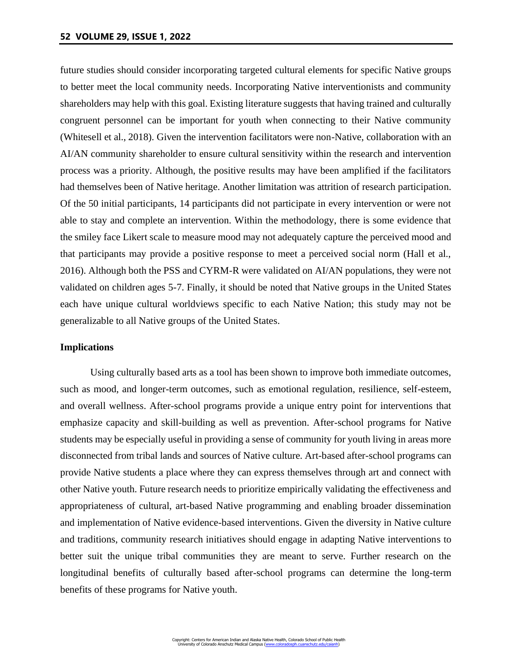future studies should consider incorporating targeted cultural elements for specific Native groups to better meet the local community needs. Incorporating Native interventionists and community shareholders may help with this goal. Existing literature suggests that having trained and culturally congruent personnel can be important for youth when connecting to their Native community (Whitesell et al., 2018). Given the intervention facilitators were non-Native, collaboration with an AI/AN community shareholder to ensure cultural sensitivity within the research and intervention process was a priority. Although, the positive results may have been amplified if the facilitators had themselves been of Native heritage. Another limitation was attrition of research participation. Of the 50 initial participants, 14 participants did not participate in every intervention or were not able to stay and complete an intervention. Within the methodology, there is some evidence that the smiley face Likert scale to measure mood may not adequately capture the perceived mood and that participants may provide a positive response to meet a perceived social norm (Hall et al., 2016). Although both the PSS and CYRM-R were validated on AI/AN populations, they were not validated on children ages 5-7. Finally, it should be noted that Native groups in the United States each have unique cultural worldviews specific to each Native Nation; this study may not be generalizable to all Native groups of the United States.

#### **Implications**

Using culturally based arts as a tool has been shown to improve both immediate outcomes, such as mood, and longer-term outcomes, such as emotional regulation, resilience, self-esteem, and overall wellness. After-school programs provide a unique entry point for interventions that emphasize capacity and skill-building as well as prevention. After-school programs for Native students may be especially useful in providing a sense of community for youth living in areas more disconnected from tribal lands and sources of Native culture. Art-based after-school programs can provide Native students a place where they can express themselves through art and connect with other Native youth. Future research needs to prioritize empirically validating the effectiveness and appropriateness of cultural, art-based Native programming and enabling broader dissemination and implementation of Native evidence-based interventions. Given the diversity in Native culture and traditions, community research initiatives should engage in adapting Native interventions to better suit the unique tribal communities they are meant to serve. Further research on the longitudinal benefits of culturally based after-school programs can determine the long-term benefits of these programs for Native youth.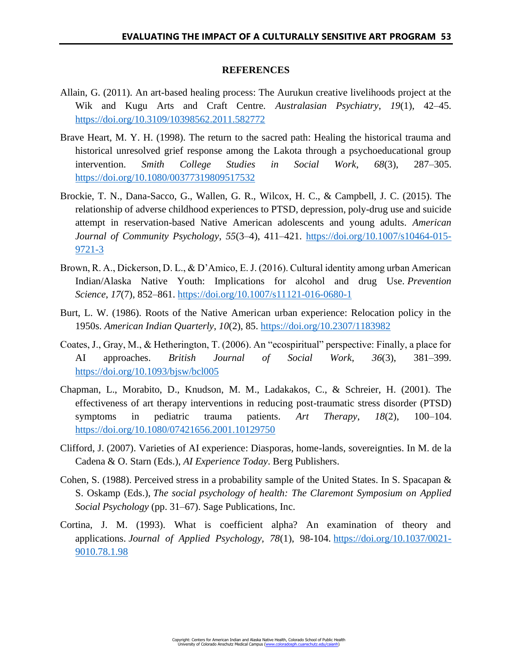## **REFERENCES**

- Allain, G. (2011). An art-based healing process: The Aurukun creative livelihoods project at the Wik and Kugu Arts and Craft Centre. *Australasian Psychiatry*, *19*(1), 42–45. <https://doi.org/10.3109/10398562.2011.582772>
- Brave Heart, M. Y. H. (1998). The return to the sacred path: Healing the historical trauma and historical unresolved grief response among the Lakota through a psychoeducational group intervention. *Smith College Studies in Social Work*, *68*(3), 287–305. <https://doi.org/10.1080/00377319809517532>
- Brockie, T. N., Dana-Sacco, G., Wallen, G. R., Wilcox, H. C., & Campbell, J. C. (2015). The relationship of adverse childhood experiences to PTSD, depression, poly-drug use and suicide attempt in reservation-based Native American adolescents and young adults. *American Journal of Community Psychology*, *55*(3–4), 411–421. [https://doi.org/10.1007/s10464-015-](https://doi.org/10.1007/s10464-015-9721-3) [9721-3](https://doi.org/10.1007/s10464-015-9721-3)
- Brown, R. A., Dickerson, D. L., & D'Amico, E. J. (2016). Cultural identity among urban American Indian/Alaska Native Youth: Implications for alcohol and drug Use. *Prevention Science*, *17*(7), 852–861.<https://doi.org/10.1007/s11121-016-0680-1>
- Burt, L. W. (1986). Roots of the Native American urban experience: Relocation policy in the 1950s. *American Indian Quarterly*, *10*(2), 85.<https://doi.org/10.2307/1183982>
- Coates, J., Gray, M., & Hetherington, T. (2006). An "ecospiritual" perspective: Finally, a place for AI approaches. *British Journal of Social Work*, *36*(3), 381–399. <https://doi.org/10.1093/bjsw/bcl005>
- Chapman, L., Morabito, D., Knudson, M. M., Ladakakos, C., & Schreier, H. (2001). The effectiveness of art therapy interventions in reducing post-traumatic stress disorder (PTSD) symptoms in pediatric trauma patients. *Art Therapy*, *18*(2), 100–104. <https://doi.org/10.1080/07421656.2001.10129750>
- Clifford, J. (2007). Varieties of AI experience: Diasporas, home-lands, sovereignties. In M. de la Cadena & O. Starn (Eds.), *AI Experience Today*. Berg Publishers.
- Cohen, S. (1988). Perceived stress in a probability sample of the United States. In S. Spacapan & S. Oskamp (Eds.), *The social psychology of health: The Claremont Symposium on Applied Social Psychology* (pp. 31–67). Sage Publications, Inc.
- Cortina, J. M. (1993). What is coefficient alpha? An examination of theory and applications. *Journal of Applied Psychology, 78*(1), 98-104. [https://doi.org/10.1037/0021-](https://psycnet.apa.org/doi/10.1037/0021-9010.78.1.98) [9010.78.1.98](https://psycnet.apa.org/doi/10.1037/0021-9010.78.1.98)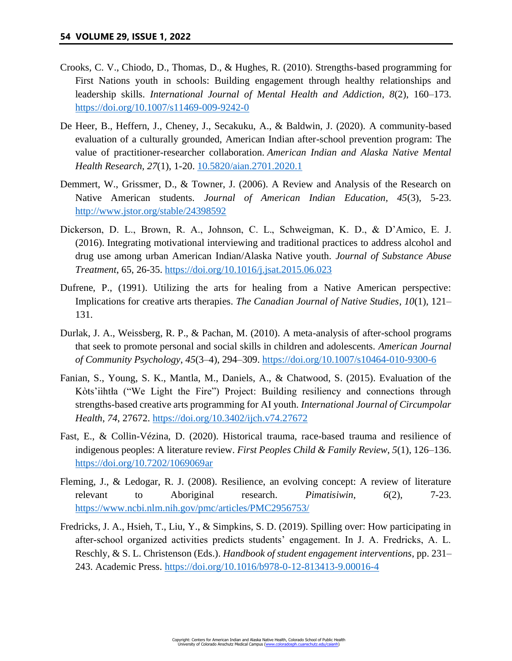- Crooks, C. V., Chiodo, D., Thomas, D., & Hughes, R. (2010). Strengths-based programming for First Nations youth in schools: Building engagement through healthy relationships and leadership skills. *International Journal of Mental Health and Addiction*, *8*(2), 160–173. <https://doi.org/10.1007/s11469-009-9242-0>
- De Heer, B., Heffern, J., Cheney, J., Secakuku, A., & Baldwin, J. (2020). A community-based evaluation of a culturally grounded, American Indian after-school prevention program: The value of practitioner-researcher collaboration. *American Indian and Alaska Native Mental Health Research, 27*(1), 1-20. [10.5820/aian.2701.2020.1](https://dx.doi.org/10.5820%2Faian.2701.2020.1)
- Demmert, W., Grissmer, D., & Towner, J. (2006). A Review and Analysis of the Research on Native American students. *Journal of American Indian Education, 45*(3), 5-23. <http://www.jstor.org/stable/24398592>
- Dickerson, D. L., Brown, R. A., Johnson, C. L., Schweigman, K. D., & D'Amico, E. J. (2016). Integrating motivational interviewing and traditional practices to address alcohol and drug use among urban American Indian/Alaska Native youth. *Journal of Substance Abuse Treatment*, 65, 26-35.<https://doi.org/10.1016/j.jsat.2015.06.023>
- Dufrene, P., (1991). Utilizing the arts for healing from a Native American perspective: Implications for creative arts therapies. *The Canadian Journal of Native Studies*, *10*(1), 121– 131.
- Durlak, J. A., Weissberg, R. P., & Pachan, M. (2010). A meta-analysis of after-school programs that seek to promote personal and social skills in children and adolescents. *American Journal of Community Psychology*, *45*(3–4), 294–309.<https://doi.org/10.1007/s10464-010-9300-6>
- Fanian, S., Young, S. K., Mantla, M., Daniels, A., & Chatwood, S. (2015). Evaluation of the Kòts'iìhtła ("We Light the Fire") Project: Building resiliency and connections through strengths-based creative arts programming for AI youth. *International Journal of Circumpolar Health*, *74*, 27672.<https://doi.org/10.3402/ijch.v74.27672>
- Fast, E., & Collin-Vézina, D. (2020). Historical trauma, race-based trauma and resilience of indigenous peoples: A literature review. *First Peoples Child & Family Review*, *5*(1), 126–136. <https://doi.org/10.7202/1069069ar>
- Fleming, J., & Ledogar, R. J. (2008). Resilience, an evolving concept: A review of literature relevant to Aboriginal research. *Pimatisiwin*, *6*(2), 7-23. <https://www.ncbi.nlm.nih.gov/pmc/articles/PMC2956753/>
- Fredricks, J. A., Hsieh, T., Liu, Y., & Simpkins, S. D. (2019). Spilling over: How participating in after-school organized activities predicts students' engagement. In J. A. Fredricks, A. L. Reschly, & S. L. Christenson (Eds.). *Handbook of student engagement interventions*, pp. 231– 243. Academic Press.<https://doi.org/10.1016/b978-0-12-813413-9.00016-4>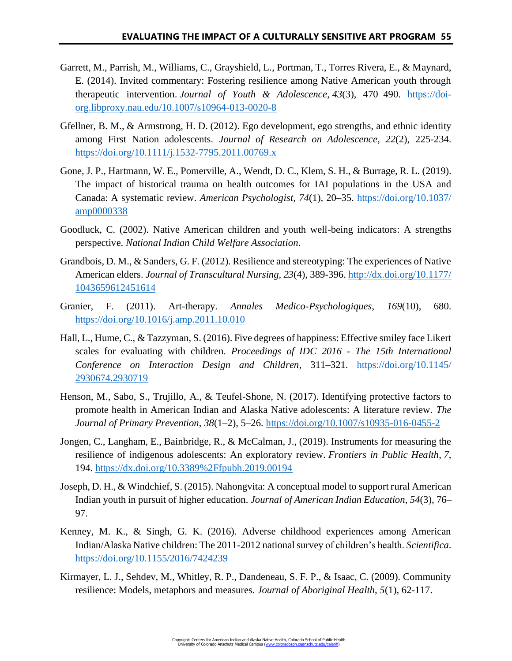- Garrett, M., Parrish, M., Williams, C., Grayshield, L., Portman, T., Torres Rivera, E., & Maynard, E. (2014). Invited commentary: Fostering resilience among Native American youth through therapeutic intervention. *Journal of Youth & Adolescence*, *43*(3), 470–490. [https://doi](https://doi-org.libproxy.nau.edu/10.1007/s10964-013-0020-8)[org.libproxy.nau.edu/10.1007/s10964-013-0020-8](https://doi-org.libproxy.nau.edu/10.1007/s10964-013-0020-8)
- Gfellner, B. M., & Armstrong, H. D. (2012). Ego development, ego strengths, and ethnic identity among First Nation adolescents. *Journal of Research on Adolescence*, *22*(2), 225-234. <https://doi.org/10.1111/j.1532-7795.2011.00769.x>
- Gone, J. P., Hartmann, W. E., Pomerville, A., Wendt, D. C., Klem, S. H., & Burrage, R. L. (2019). The impact of historical trauma on health outcomes for IAI populations in the USA and Canada: A systematic review. *American Psychologist*, *74*(1), 20–35. [https://doi.org/10.1037/](https://doi.org/10.1037/amp0000338) [amp0000338](https://doi.org/10.1037/amp0000338)
- Goodluck, C. (2002). Native American children and youth well-being indicators: A strengths perspective. *National Indian Child Welfare Association*.
- Grandbois, D. M., & Sanders, G. F. (2012). Resilience and stereotyping: The experiences of Native American elders. *Journal of Transcultural Nursing, 23*(4), 389-396. [http://dx.doi.org/10.1177/](http://dx.doi.org/10.1177/1043659612451614) [1043659612451614](http://dx.doi.org/10.1177/1043659612451614)
- Granier, F. (2011). Art-therapy. *Annales Medico-Psychologiques*, *169*(10), 680. <https://doi.org/10.1016/j.amp.2011.10.010>
- Hall, L., Hume, C., & Tazzyman, S. (2016). Five degrees of happiness: Effective smiley face Likert scales for evaluating with children. *Proceedings of IDC 2016 - The 15th International Conference on Interaction Design and Children*, 311–321. [https://doi.org/10.1145/](https://doi.org/10.1145/2930674.2930719) [2930674.2930719](https://doi.org/10.1145/2930674.2930719)
- Henson, M., Sabo, S., Trujillo, A., & Teufel-Shone, N. (2017). Identifying protective factors to promote health in American Indian and Alaska Native adolescents: A literature review. *The Journal of Primary Prevention*, *38*(1–2), 5–26.<https://doi.org/10.1007/s10935-016-0455-2>
- Jongen, C., Langham, E., Bainbridge, R., & McCalman, J., (2019). Instruments for measuring the resilience of indigenous adolescents: An exploratory review. *Frontiers in Public Health*, *7*, 194.<https://dx.doi.org/10.3389%2Ffpubh.2019.00194>
- Joseph, D. H., & Windchief, S. (2015). Nahongvita: A conceptual model to support rural American Indian youth in pursuit of higher education. *Journal of American Indian Education*, *54*(3), 76– 97.
- Kenney, M. K., & Singh, G. K. (2016). Adverse childhood experiences among American Indian/Alaska Native children: The 2011-2012 national survey of children's health. *Scientifica*. <https://doi.org/10.1155/2016/7424239>
- Kirmayer, L. J., Sehdev, M., Whitley, R. P., Dandeneau, S. F. P., & Isaac, C. (2009). Community resilience: Models, metaphors and measures. *Journal of Aboriginal Health, 5*(1), 62-117.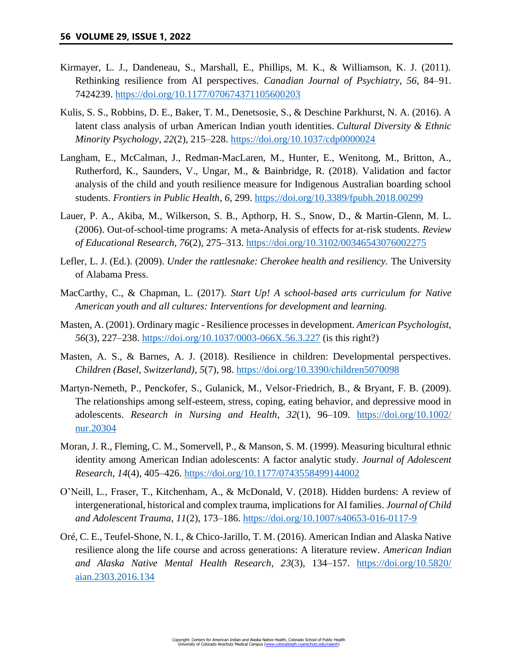- Kirmayer, L. J., Dandeneau, S., Marshall, E., Phillips, M. K., & Williamson, K. J. (2011). Rethinking resilience from AI perspectives. *Canadian Journal of Psychiatry*, *56*, 84–91. 7424239.<https://doi.org/10.1177/070674371105600203>
- Kulis, S. S., Robbins, D. E., Baker, T. M., Denetsosie, S., & Deschine Parkhurst, N. A. (2016). A latent class analysis of urban American Indian youth identities. *Cultural Diversity & Ethnic Minority Psychology*, *22*(2), 215–228.<https://doi.org/10.1037/cdp0000024>
- Langham, E., McCalman, J., Redman-MacLaren, M., Hunter, E., Wenitong, M., Britton, A., Rutherford, K., Saunders, V., Ungar, M., & Bainbridge, R. (2018). Validation and factor analysis of the child and youth resilience measure for Indigenous Australian boarding school students. *Frontiers in Public Health*, *6*, 299.<https://doi.org/10.3389/fpubh.2018.00299>
- Lauer, P. A., Akiba, M., Wilkerson, S. B., Apthorp, H. S., Snow, D., & Martin-Glenn, M. L. (2006). Out-of-school-time programs: A meta-Analysis of effects for at-risk students. *Review of Educational Research*, *76*(2), 275–313.<https://doi.org/10.3102/00346543076002275>
- Lefler, L. J. (Ed.). (2009). *Under the rattlesnake: Cherokee health and resiliency.* The University of Alabama Press.
- MacCarthy, C., & Chapman, L. (2017). *Start Up! A school-based arts curriculum for Native American youth and all cultures: Interventions for development and learning.*
- Masten, A. (2001). Ordinary magic Resilience processes in development. *American Psychologist*, *56*(3), 227–238.<https://doi.org/10.1037/0003-066X.56.3.227> (is this right?)
- Masten, A. S., & Barnes, A. J. (2018). Resilience in children: Developmental perspectives. *Children (Basel, Switzerland)*, *5*(7), 98.<https://doi.org/10.3390/children5070098>
- Martyn-Nemeth, P., Penckofer, S., Gulanick, M., Velsor-Friedrich, B., & Bryant, F. B. (2009). The relationships among self-esteem, stress, coping, eating behavior, and depressive mood in adolescents. *Research in Nursing and Health*, *32*(1), 96–109. [https://doi.org/10.1002/](https://doi.org/10.1002/nur.20304) [nur.20304](https://doi.org/10.1002/nur.20304)
- Moran, J. R., Fleming, C. M., Somervell, P., & Manson, S. M. (1999). Measuring bicultural ethnic identity among American Indian adolescents: A factor analytic study. *Journal of Adolescent Research*, *14*(4), 405–426.<https://doi.org/10.1177/0743558499144002>
- O'Neill, L., Fraser, T., Kitchenham, A., & McDonald, V. (2018). Hidden burdens: A review of intergenerational, historical and complex trauma, implications for AI families. *Journal of Child and Adolescent Trauma*, *11*(2), 173–186.<https://doi.org/10.1007/s40653-016-0117-9>
- Oré, C. E., Teufel-Shone, N. I., & Chico-Jarillo, T. M. (2016). American Indian and Alaska Native resilience along the life course and across generations: A literature review. *American Indian and Alaska Native Mental Health Research*, *23*(3), 134–157. [https://doi.org/10.5820/](https://doi.org/10.5820/aian.2303.2016.134) [aian.2303.2016.134](https://doi.org/10.5820/aian.2303.2016.134)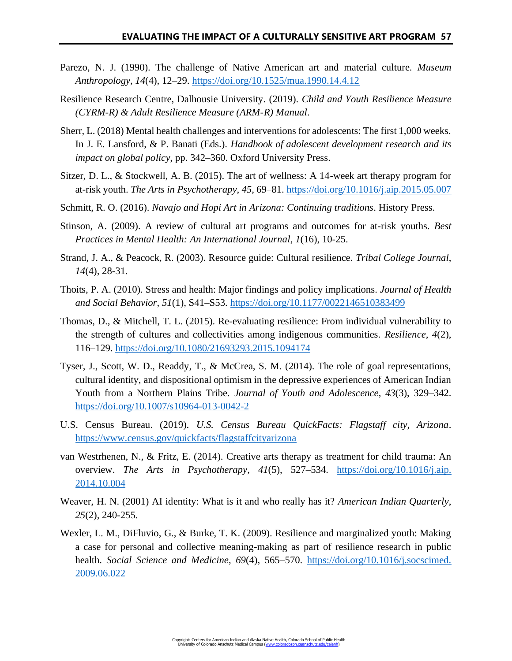- Parezo, N. J. (1990). The challenge of Native American art and material culture. *Museum Anthropology*, *14*(4), 12–29.<https://doi.org/10.1525/mua.1990.14.4.12>
- Resilience Research Centre, Dalhousie University. (2019). *Child and Youth Resilience Measure (CYRM-R) & Adult Resilience Measure (ARM-R) Manual*.
- Sherr, L. (2018) Mental health challenges and interventions for adolescents: The first 1,000 weeks. In J. E. Lansford, & P. Banati (Eds.). *Handbook of adolescent development research and its impact on global policy,* pp. 342–360. Oxford University Press.
- Sitzer, D. L., & Stockwell, A. B. (2015). The art of wellness: A 14-week art therapy program for at-risk youth. *The Arts in Psychotherapy*, *45*, 69–81.<https://doi.org/10.1016/j.aip.2015.05.007>
- Schmitt, R. O. (2016). *Navajo and Hopi Art in Arizona: Continuing traditions*. History Press.
- Stinson, A. (2009). A review of cultural art programs and outcomes for at-risk youths. *Best Practices in Mental Health: An International Journal*, *1*(16), 10-25.
- Strand, J. A., & Peacock, R. (2003). Resource guide: Cultural resilience. *Tribal College Journal*, *14*(4), 28-31.
- Thoits, P. A. (2010). Stress and health: Major findings and policy implications. *Journal of Health and Social Behavior*, *51*(1), S41–S53.<https://doi.org/10.1177/0022146510383499>
- Thomas, D., & Mitchell, T. L. (2015). Re-evaluating resilience: From individual vulnerability to the strength of cultures and collectivities among indigenous communities. *Resilience, 4*(2), 116–129.<https://doi.org/10.1080/21693293.2015.1094174>
- Tyser, J., Scott, W. D., Readdy, T., & McCrea, S. M. (2014). The role of goal representations, cultural identity, and dispositional optimism in the depressive experiences of American Indian Youth from a Northern Plains Tribe. *Journal of Youth and Adolescence*, *43*(3), 329–342. <https://doi.org/10.1007/s10964-013-0042-2>
- U.S. Census Bureau. (2019). *U.S. Census Bureau QuickFacts: Flagstaff city, Arizona*. <https://www.census.gov/quickfacts/flagstaffcityarizona>
- van Westrhenen, N., & Fritz, E. (2014). Creative arts therapy as treatment for child trauma: An overview. *The Arts in Psychotherapy*, *41*(5), 527–534. [https://doi.org/10.1016/j.aip.](https://doi.org/10.1016/j.aip.2014.10.004) [2014.10.004](https://doi.org/10.1016/j.aip.2014.10.004)
- Weaver, H. N. (2001) AI identity: What is it and who really has it? *American Indian Quarterly*, *25*(2), 240-255.
- Wexler, L. M., DiFluvio, G., & Burke, T. K. (2009). Resilience and marginalized youth: Making a case for personal and collective meaning-making as part of resilience research in public health. *Social Science and Medicine*, *69*(4), 565–570. [https://doi.org/10.1016/j.socscimed.](https://doi.org/10.1016/j.socscimed.2009.06.022) [2009.06.022](https://doi.org/10.1016/j.socscimed.2009.06.022)